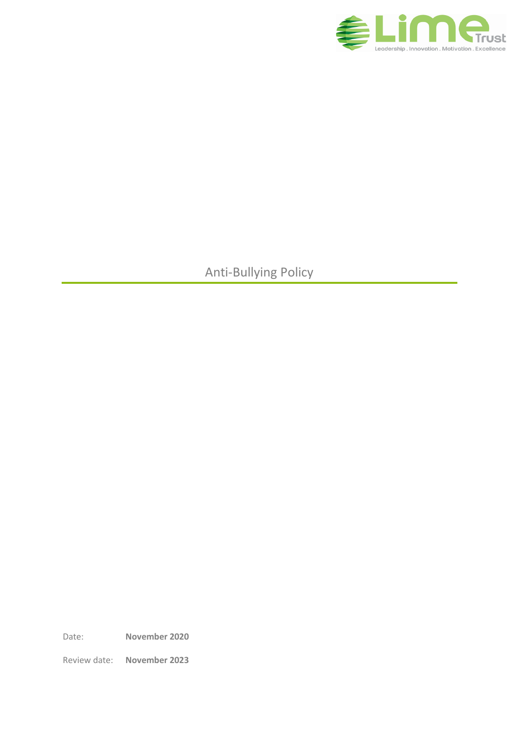

Anti-Bullying Policy

Date: **November 2020**

Review date: **November 2023**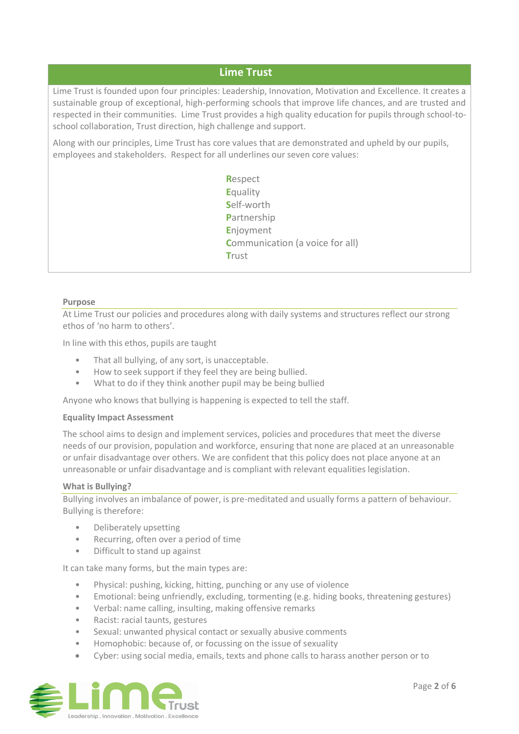# **Lime Trust**

Lime Trust is founded upon four principles: Leadership, Innovation, Motivation and Excellence. It creates a sustainable group of exceptional, high-performing schools that improve life chances, and are trusted and respected in their communities. Lime Trust provides a high quality education for pupils through school-toschool collaboration, Trust direction, high challenge and support.

Along with our principles, Lime Trust has core values that are demonstrated and upheld by our pupils, employees and stakeholders. Respect for all underlines our seven core values:

> **R**espect **E**quality **S**elf-worth **P**artnership **E**njoyment **Communication (a voice for all) T**rust

#### **Purpose**

At Lime Trust our policies and procedures along with daily systems and structures reflect our strong ethos of 'no harm to others'.

In line with this ethos, pupils are taught

- That all bullying, of any sort, is unacceptable.
- How to seek support if they feel they are being bullied.
- What to do if they think another pupil may be being bullied

Anyone who knows that bullying is happening is expected to tell the staff.

#### **Equality Impact Assessment**

The school aims to design and implement services, policies and procedures that meet the diverse needs of our provision, population and workforce, ensuring that none are placed at an unreasonable or unfair disadvantage over others. We are confident that this policy does not place anyone at an unreasonable or unfair disadvantage and is compliant with relevant equalities legislation.

#### **What is Bullying?**

Bullying involves an imbalance of power, is pre-meditated and usually forms a pattern of behaviour. Bullying is therefore:

- Deliberately upsetting
- Recurring, often over a period of time
- Difficult to stand up against

It can take many forms, but the main types are:

- Physical: pushing, kicking, hitting, punching or any use of violence
- Emotional: being unfriendly, excluding, tormenting (e.g. hiding books, threatening gestures)
- Verbal: name calling, insulting, making offensive remarks
- Racist: racial taunts, gestures
- Sexual: unwanted physical contact or sexually abusive comments
- Homophobic: because of, or focussing on the issue of sexuality
- Cyber: using social media, emails, texts and phone calls to harass another person or to

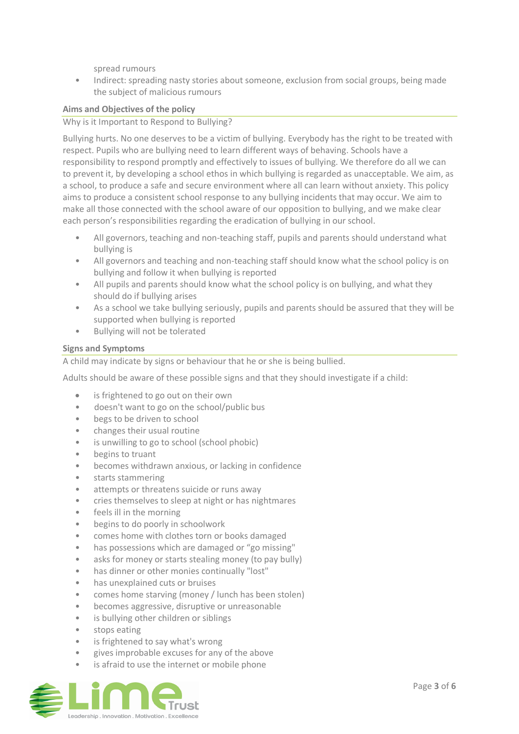spread rumours

• Indirect: spreading nasty stories about someone, exclusion from social groups, being made the subject of malicious rumours

## **Aims and Objectives of the policy**

Why is it Important to Respond to Bullying?

Bullying hurts. No one deserves to be a victim of bullying. Everybody has the right to be treated with respect. Pupils who are bullying need to learn different ways of behaving. Schools have a responsibility to respond promptly and effectively to issues of bullying. We therefore do all we can to prevent it, by developing a school ethos in which bullying is regarded as unacceptable. We aim, as a school, to produce a safe and secure environment where all can learn without anxiety. This policy aims to produce a consistent school response to any bullying incidents that may occur. We aim to make all those connected with the school aware of our opposition to bullying, and we make clear each person's responsibilities regarding the eradication of bullying in our school.

- All governors, teaching and non-teaching staff, pupils and parents should understand what bullying is
- All governors and teaching and non-teaching staff should know what the school policy is on bullying and follow it when bullying is reported
- All pupils and parents should know what the school policy is on bullying, and what they should do if bullying arises
- As a school we take bullying seriously, pupils and parents should be assured that they will be supported when bullying is reported
- Bullying will not be tolerated

## **Signs and Symptoms**

A child may indicate by signs or behaviour that he or she is being bullied.

Adults should be aware of these possible signs and that they should investigate if a child:

- is frightened to go out on their own
- doesn't want to go on the school/public bus
- begs to be driven to school
- changes their usual routine
- is unwilling to go to school (school phobic)
- begins to truant
- becomes withdrawn anxious, or lacking in confidence
- starts stammering
- attempts or threatens suicide or runs away
- cries themselves to sleep at night or has nightmares
- feels ill in the morning
- begins to do poorly in schoolwork
- comes home with clothes torn or books damaged
- has possessions which are damaged or "go missing"
- asks for money or starts stealing money (to pay bully)
- has dinner or other monies continually "lost"
- has unexplained cuts or bruises
- comes home starving (money / lunch has been stolen)
- becomes aggressive, disruptive or unreasonable
- is bullying other children or siblings
- stops eating
- is frightened to say what's wrong
- gives improbable excuses for any of the above
- is afraid to use the internet or mobile phone

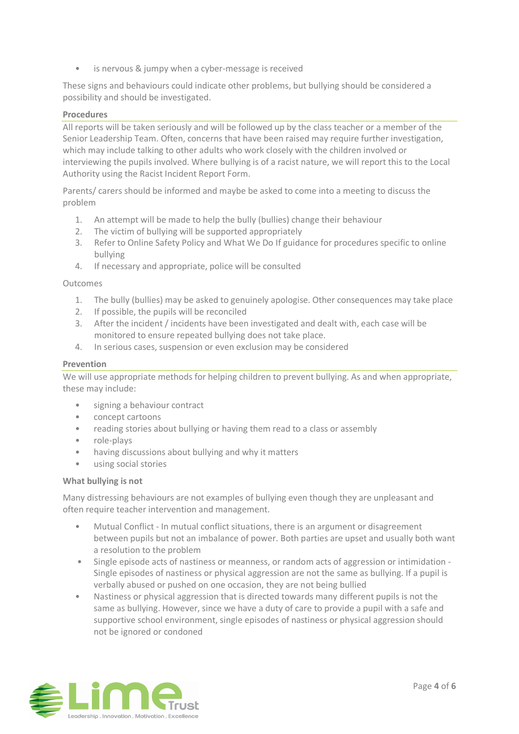• is nervous & jumpy when a cyber-message is received

These signs and behaviours could indicate other problems, but bullying should be considered a possibility and should be investigated.

### **Procedures**

All reports will be taken seriously and will be followed up by the class teacher or a member of the Senior Leadership Team. Often, concerns that have been raised may require further investigation, which may include talking to other adults who work closely with the children involved or interviewing the pupils involved. Where bullying is of a racist nature, we will report this to the Local Authority using the Racist Incident Report Form.

Parents/ carers should be informed and maybe be asked to come into a meeting to discuss the problem

- 1. An attempt will be made to help the bully (bullies) change their behaviour
- 2. The victim of bullying will be supported appropriately
- 3. Refer to Online Safety Policy and What We Do If guidance for procedures specific to online bullying
- 4. If necessary and appropriate, police will be consulted

### Outcomes

- 1. The bully (bullies) may be asked to genuinely apologise. Other consequences may take place
- 2. If possible, the pupils will be reconciled
- 3. After the incident / incidents have been investigated and dealt with, each case will be monitored to ensure repeated bullying does not take place.
- 4. In serious cases, suspension or even exclusion may be considered

### **Prevention**

We will use appropriate methods for helping children to prevent bullying. As and when appropriate, these may include:

- signing a behaviour contract
- concept cartoons
- reading stories about bullying or having them read to a class or assembly
- role-plays
- having discussions about bullying and why it matters
- using social stories

### **What bullying is not**

Many distressing behaviours are not examples of bullying even though they are unpleasant and often require teacher intervention and management.

- Mutual Conflict In mutual conflict situations, there is an argument or disagreement between pupils but not an imbalance of power. Both parties are upset and usually both want a resolution to the problem
- Single episode acts of nastiness or meanness, or random acts of aggression or intimidation Single episodes of nastiness or physical aggression are not the same as bullying. If a pupil is verbally abused or pushed on one occasion, they are not being bullied
- Nastiness or physical aggression that is directed towards many different pupils is not the same as bullying. However, since we have a duty of care to provide a pupil with a safe and supportive school environment, single episodes of nastiness or physical aggression should not be ignored or condoned

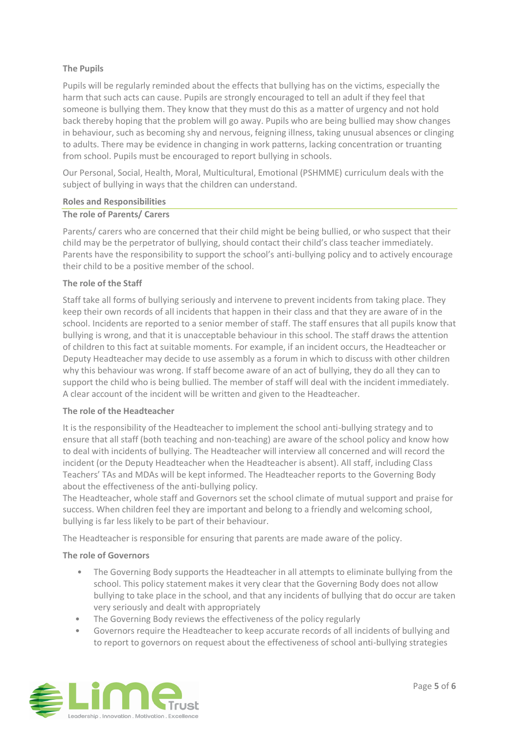# **The Pupils**

Pupils will be regularly reminded about the effects that bullying has on the victims, especially the harm that such acts can cause. Pupils are strongly encouraged to tell an adult if they feel that someone is bullying them. They know that they must do this as a matter of urgency and not hold back thereby hoping that the problem will go away. Pupils who are being bullied may show changes in behaviour, such as becoming shy and nervous, feigning illness, taking unusual absences or clinging to adults. There may be evidence in changing in work patterns, lacking concentration or truanting from school. Pupils must be encouraged to report bullying in schools.

Our Personal, Social, Health, Moral, Multicultural, Emotional (PSHMME) curriculum deals with the subject of bullying in ways that the children can understand.

### **Roles and Responsibilities**

## **The role of Parents/ Carers**

Parents/ carers who are concerned that their child might be being bullied, or who suspect that their child may be the perpetrator of bullying, should contact their child's class teacher immediately. Parents have the responsibility to support the school's anti-bullying policy and to actively encourage their child to be a positive member of the school.

## **The role of the Staff**

Staff take all forms of bullying seriously and intervene to prevent incidents from taking place. They keep their own records of all incidents that happen in their class and that they are aware of in the school. Incidents are reported to a senior member of staff. The staff ensures that all pupils know that bullying is wrong, and that it is unacceptable behaviour in this school. The staff draws the attention of children to this fact at suitable moments. For example, if an incident occurs, the Headteacher or Deputy Headteacher may decide to use assembly as a forum in which to discuss with other children why this behaviour was wrong. If staff become aware of an act of bullying, they do all they can to support the child who is being bullied. The member of staff will deal with the incident immediately. A clear account of the incident will be written and given to the Headteacher.

### **The role of the Headteacher**

It is the responsibility of the Headteacher to implement the school anti-bullying strategy and to ensure that all staff (both teaching and non-teaching) are aware of the school policy and know how to deal with incidents of bullying. The Headteacher will interview all concerned and will record the incident (or the Deputy Headteacher when the Headteacher is absent). All staff, including Class Teachers' TAs and MDAs will be kept informed. The Headteacher reports to the Governing Body about the effectiveness of the anti-bullying policy.

The Headteacher, whole staff and Governors set the school climate of mutual support and praise for success. When children feel they are important and belong to a friendly and welcoming school, bullying is far less likely to be part of their behaviour.

The Headteacher is responsible for ensuring that parents are made aware of the policy.

### **The role of Governors**

- The Governing Body supports the Headteacher in all attempts to eliminate bullying from the school. This policy statement makes it very clear that the Governing Body does not allow bullying to take place in the school, and that any incidents of bullying that do occur are taken very seriously and dealt with appropriately
- The Governing Body reviews the effectiveness of the policy regularly
- Governors require the Headteacher to keep accurate records of all incidents of bullying and to report to governors on request about the effectiveness of school anti-bullying strategies